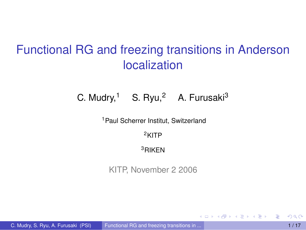# Functional RG and freezing transitions in Anderson localization

#### C. Mudry,<sup>1</sup> S. Ryu,<sup>2</sup> A. Furusaki<sup>3</sup>

<sup>1</sup> Paul Scherrer Institut, Switzerland

<sup>2</sup>KITP

<sup>3</sup>RIKEN

KITP, November 2 2006

<span id="page-0-0"></span>4 何 ト 4 ヨ ト 4 ヨ ト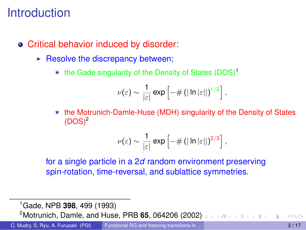### Introduction

- Critical behavior induced by disorder:
	- $\blacktriangleright$  Resolve the discrepancy between;
		- $\star$  the Gade singularity of the Density of States (DOS)<sup>1</sup>

$$
\nu(\varepsilon) \sim \frac{1}{|\varepsilon|} \exp \left[ -\# \left( \left| \ln |\varepsilon| \right| \right)^{1/2} \right],
$$

 $\star$  the Motrunich-Damle-Huse (MDH) singularity of the Density of States  $(DOS)^2$ 

$$
\nu(\varepsilon) \sim \frac{1}{|\varepsilon|} \exp \left[ -\# \left( \left| \ln |\varepsilon| \right| \right)^{2/3} \right],
$$

for a single particle in a 2*d* random environment preserving spin-rotation, time-reversal, and sublattice symmetries.

<sup>1</sup>Gade, NPB **398**, 499 (1993)

**2Motrunich, Damle, and Huse, PRB 65, 064206 (200[2\)](#page-0-0) DENALLY A READLE A**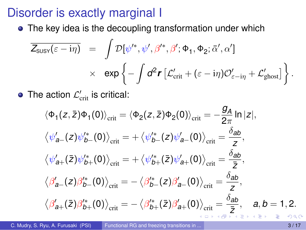### Disorder is exactly marginal I

• The key idea is the decoupling transformation under which

$$
\overline{Z_{\text{SUSY}}(\varepsilon - i\eta)} = \int \mathcal{D}[\psi^{\prime *}, \psi^{\prime}, \beta^{\prime *}, \beta^{\prime}; \Phi_1, \Phi_2; \bar{\alpha}^{\prime}, \alpha^{\prime}]
$$

$$
\times \exp \left\{-\int d^2 \mathbf{r} \left[\mathcal{L}_{\text{crit}}^{\prime} + (\varepsilon - i\eta)\mathcal{O}_{\varepsilon - i\eta}^{\prime} + \mathcal{L}_{\text{ghost}}^{\prime}\right]\right\}.
$$

The action  $\mathcal{L}'_\text{crit}$  is critical:

$$
\langle \Phi_1(z,\bar{z})\Phi_1(0)\rangle_{\text{crit}} = \langle \Phi_2(z,\bar{z})\Phi_2(0)\rangle_{\text{crit}} = -\frac{g_A}{2\pi} \ln|z|,
$$
  

$$
\langle \psi'_{a-}(z)\psi'^*_{b-}(0)\rangle_{\text{crit}} = +\langle \psi'^*_{b-}(z)\psi'_{a-}(0)\rangle_{\text{crit}} = \frac{\delta_{ab}}{z},
$$
  

$$
\langle \psi'_{a+}(\bar{z})\psi'^*_{b+}(0)\rangle_{\text{crit}} = +\langle \psi'^*_{b+}(\bar{z})\psi'_{a+}(0)\rangle_{\text{crit}} = \frac{\delta_{ab}}{\bar{z}},
$$
  

$$
\langle \beta'_{a-}(z)\beta'^*_{b-}(0)\rangle_{\text{crit}} = -\langle \beta'^*_{b-}(z)\beta'_{a-}(0)\rangle_{\text{crit}} = \frac{\delta_{ab}}{z},
$$
  

$$
\langle \beta'_{a+}(\bar{z})\beta'^*_{b+}(0)\rangle_{\text{crit}} = -\langle \beta'^*_{b+}(\bar{z})\beta'_{a+}(0)\rangle_{\text{crit}} = \frac{\delta_{ab}}{\bar{z}}, \quad a, b = 1, 2.
$$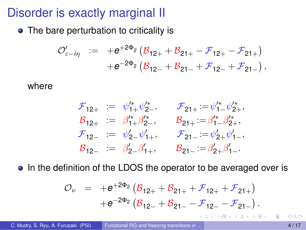# Disorder is exactly marginal II

• The bare perturbation to criticality is

$$
\begin{array}{lll} \mathcal{O}'_{\varepsilon-i\eta} & := & +e^{+2\Phi_{2}}\left(\mathcal{B}_{12+}+\mathcal{B}_{21+}-\mathcal{F}_{12+}-\mathcal{F}_{21+}\right) \\ & & +e^{-2\Phi_{2}}\left(\mathcal{B}_{12-}+\mathcal{B}_{21-}+\mathcal{F}_{12-}+\mathcal{F}_{21-}\right), \end{array}
$$

#### where

$$
\begin{array}{rcll} \mathcal{F}_{12+} & := & \psi_{1+}^{\prime *}\psi_{2-}^{\prime *}, & \mathcal{F}_{21+}:=\psi_{1-}^{\prime *}\psi_{2+}^{\prime *}, \\ \mathcal{B}_{12+} & := & \beta_{1+}^{\prime *}\beta_{2-}^{\prime *}, & \mathcal{B}_{21+}:=\beta_{1-}^{\prime *}\beta_{2+}^{\prime *}, \\ \mathcal{F}_{12-} & := & \psi_{2-}^{\prime }\psi_{1+}^{\prime }, & \mathcal{F}_{21-}:=\psi_{2+}^{\prime }\psi_{1-}^{\prime }, \\ \mathcal{B}_{12-} & := & \beta_{2-}^{\prime }\beta_{1+}^{\prime }, & \mathcal{B}_{21-}:=\beta_{2+}^{\prime }\beta_{1-}^{\prime}. \end{array}
$$

• In the definition of the LDOS the operator to be averaged over is

$$
\mathcal{O}_{\nu} = +e^{+2\Phi_2} \left( \mathcal{B}_{12+} + \mathcal{B}_{21+} + \mathcal{F}_{12+} + \mathcal{F}_{21+} \right) +e^{-2\Phi_2} \left( \mathcal{B}_{12-} + \mathcal{B}_{21-} - \mathcal{F}_{12-} - \mathcal{F}_{21-} \right).
$$

4 同 下

<span id="page-3-0"></span>ラメス 国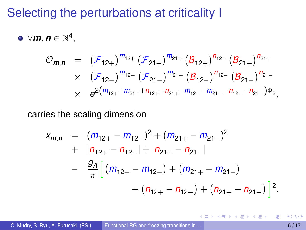#### Selecting the perturbations at criticality I

 $\forall \mathbf{m}, \mathbf{n} \in \mathbb{N}^4,$ 

$$
\begin{array}{lcl} \mathcal{O}_{\pmb m, \pmb n} & = & \left( \mathcal{F}_{12+} \right)^{m_{12+}} \left( \mathcal{F}_{21+} \right)^{m_{21+}} \left( \mathcal{B}_{12+} \right)^{n_{12+}} \left( \mathcal{B}_{21+} \right)^{n_{21+}} \\ & \times & \left( \mathcal{F}_{12-} \right)^{m_{12-}} \left( \mathcal{F}_{21-} \right)^{m_{21-}} \left( \mathcal{B}_{12-} \right)^{n_{12-}} \left( \mathcal{B}_{21-} \right)^{n_{21-}} \\ & \times & e^{2 \left( m_{12+} + m_{21+} + n_{12+} + n_{21-} - m_{12-} - n_{21-} - n_{12-} - n_{21-} \right) \Phi_2}, \end{array}
$$

#### carries the scaling dimension

$$
x_{m,n} = (m_{12+} - m_{12-})^2 + (m_{21+} - m_{21-})^2
$$
  
+  $|n_{12+} - n_{12-}| + |n_{21+} - n_{21-}|$   
-  $\frac{g_A}{\pi} \Big[ (m_{12+} - m_{12-}) + (m_{21+} - m_{21-}) + (n_{21+} - n_{21-}) \Big]^2$ .

Þ

イロト イ押 トイラト イラトー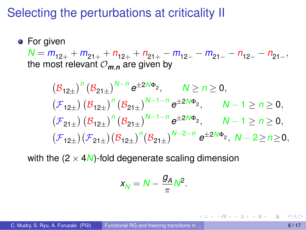### Selecting the perturbations at criticality II

**•** For given  $N = m_{12+} + m_{21+} + n_{12+} + n_{21+} - m_{12-} - m_{21-} - n_{12-} - n_{21-}$ the most relevant  $O_{m,n}$  are given by

$$
\begin{aligned} &\left(\mathcal{B}_{12\pm}\right)^n\left(\mathcal{B}_{21\pm}\right)^{N-n}e^{\pm 2N\Phi_2},\qquad N\geq n\geq 0,\\ &\left(\mathcal{F}_{12\pm}\right)\left(\mathcal{B}_{12\pm}\right)^n\left(\mathcal{B}_{21\pm}\right)^{N-1-n}e^{\pm 2N\Phi_2},\qquad N-1\geq n\geq 0,\\ &\left(\mathcal{F}_{21\pm}\right)\left(\mathcal{B}_{12\pm}\right)^n\left(\mathcal{B}_{21\pm}\right)^{N-1-n}e^{\pm 2N\Phi_2},\qquad N-1\geq n\geq 0,\\ &\left(\mathcal{F}_{12\pm}\right)\left(\mathcal{F}_{21\pm}\right)\left(\mathcal{B}_{12\pm}\right)^n\left(\mathcal{B}_{21\pm}\right)^{N-2-n}e^{\pm 2N\Phi_2},\ N-2\geq n\geq 0, \end{aligned}
$$

with the  $(2 \times 4N)$ -fold degenerate scaling dimension

$$
x_N = N - \frac{g_A}{\pi} N^2.
$$

<span id="page-5-0"></span>( ロ ) ( 何 ) ( ヨ ) ( ヨ ) (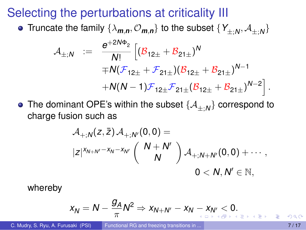#### Selecting the perturbations at criticality III

Truncate the family  $\{\lambda_{\bm{m},\bm{n}},\mathcal{O}_{\bm{m},\bm{n}}\}$  to the subset  $\{Y_{\pm;\bm{N}},\mathcal{A}_{\pm;\bm{N}}\}$ 

$$
\begin{array}{rcl} \mathcal{A}_{\pm;N} & := & \frac{e^{+2N\Phi_2}}{N!}\left[ (\mathcal{B}_{12\pm}+\mathcal{B}_{21\pm})^N \right. \\ & & \left. + \mathcal{N}(\mathcal{F}_{12\pm}+\mathcal{F}_{21\pm}) (\mathcal{B}_{12\pm}+\mathcal{B}_{21\pm})^{N-1} \right. \\ & & \left. + \mathcal{N}(N-1)\mathcal{F}_{12\pm}\mathcal{F}_{21\pm} (\mathcal{B}_{12\pm}+\mathcal{B}_{21\pm})^{N-2} \right]. \end{array}
$$

The dominant OPE's within the subset  $\{\mathcal{A}_{\pm;N}\}$  correspond to charge fusion such as

$$
\mathcal{A}_{+,N}(z,\bar{z})\mathcal{A}_{+,N'}(0,0) =
$$
  

$$
|z|^{x_{N+N'}-x_N-x_{N'}}\left(\begin{array}{c}N+N'\\N\end{array}\right)\mathcal{A}_{+,N+N'}(0,0)+\cdots,
$$
  

$$
0
$$

whereby

<span id="page-6-0"></span>
$$
x_N = N - \frac{g_A}{\pi} N^2 \Rightarrow x_{N+N'} - x_N - x_{N'} < 0.
$$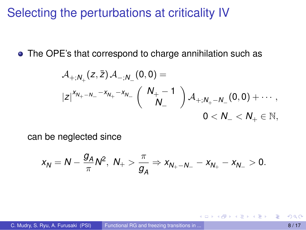#### Selecting the perturbations at criticality IV

• The OPE's that correspond to charge annihilation such as

$$
\begin{aligned} &\mathcal{A}_{+;N_+}(z,\bar{z})\,\mathcal{A}_{-;N_-}(0,0)= \\ &\left|z\right|^{x_{N_+-N_-}-x_{N_+}-x_{N_-}}\left(\begin{array}{c}N_+-1\\&N_-\end{array}\right)\mathcal{A}_{+;N_+-N_-}(0,0)+\cdots, \\ &\qquad \qquad 0
$$

can be neglected since

$$
x_N = N - \frac{g_A}{\pi} N^2, N_+ > \frac{\pi}{g_A} \Rightarrow x_{N_+ - N_-} - x_{N_+} - x_{N_-} > 0.
$$

<span id="page-7-0"></span> $\mathcal{A}$   $\overline{\mathcal{B}}$   $\rightarrow$   $\mathcal{A}$   $\overline{\mathcal{B}}$   $\rightarrow$   $\mathcal{A}$   $\overline{\mathcal{B}}$   $\rightarrow$   $\mathcal{B}$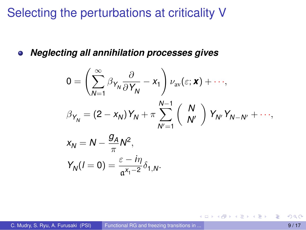### Selecting the perturbations at criticality V

*Neglecting all annihilation processes gives*  $\bullet$ 

$$
0 = \left(\sum_{N=1}^{\infty} \beta_{Y_N} \frac{\partial}{\partial Y_N} - x_1\right) \nu_{av}(\varepsilon; \mathbf{x}) + \cdots,
$$

$$
\beta_{Y_N} = (2 - x_N) Y_N + \pi \sum_{N'=1}^{N-1} \left(\begin{array}{c} N \\ N' \end{array}\right) Y_{N'} Y_{N-N'} + \cdots,
$$

$$
x_N = N - \frac{g_A}{\pi} N^2,
$$
  

$$
Y_N(l = 0) = \frac{\varepsilon - i\eta}{\mathfrak{a}^{x_1 - 2}} \delta_{1,N}.
$$

イロト イ押 トイラト イラトー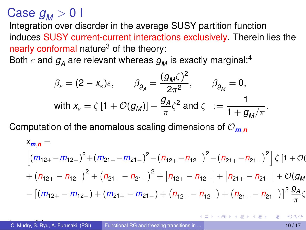$Case g<sub>M</sub> > 0$ 

Integration over disorder in the average SUSY partition function induces SUSY current-current interactions exclusively. Therein lies the nearly conformal nature<sup>3</sup> of the theory:

Both  $\varepsilon$  and  $g_A$  are relevant whereas  $g_M$  is exactly marginal:<sup>4</sup>

$$
\beta_{\varepsilon} = (2 - x_{\varepsilon})\varepsilon, \qquad \beta_{g_{A}} = \frac{(g_{M}\zeta)^{2}}{2\pi^{2}}, \qquad \beta_{g_{M}} = 0,
$$
  
with  $x_{\varepsilon} = \zeta [1 + \mathcal{O}(g_{M})] - \frac{g_{A}}{\pi} \zeta^{2}$  and  $\zeta := \frac{1}{1 + g_{M}/\pi}.$ 

Computation of the anomalous scaling dimensions of O*m*,*<sup>n</sup>*

$$
x_{m,n} =
$$
\n
$$
\left[ (m_{12+} - m_{12-})^2 + (m_{21+} - m_{21-})^2 - (n_{12+} - n_{12-})^2 - (n_{21+} - n_{21-})^2 \right] \zeta [1 + O((n_{12+} - n_{12-})^2 + (n_{21+} - n_{21-})^2 + |n_{12+} - n_{12-}| + |n_{21+} - n_{21-}| + O((g_M - 1)(n_{12+} - n_{12-}) + (n_{21+} - n_{21-})) + (n_{21+} - n_{21-}) + (n_{21+} - n_{21-}) + (n_{21+} - n_{21-})^2 \frac{g_A}{\pi} \zeta
$$

2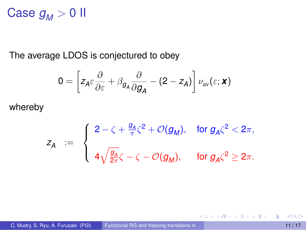## Case  $g_M > 0$  II

The average LDOS is conjectured to obey

$$
0 = \left[ z_{A} \varepsilon \frac{\partial}{\partial \varepsilon} + \beta_{g_{A}} \frac{\partial}{\partial g_{A}} - (2 - z_{A}) \right] \nu_{\text{av}}(\varepsilon; \textbf{x})
$$

whereby

$$
z_A \ := \ \left\{ \begin{array}{l} 2-\zeta + \frac{g_A}{\pi} \zeta^2 + \mathcal{O}(g_M), \quad \text{for $g_A \zeta^2 < 2\pi$}, \\ \ 4\sqrt{\frac{g_A}{2\pi}} \zeta - \zeta - \mathcal{O}(g_M), \quad \ \ \text{for $g_A \zeta^2 \geq 2\pi$}. \end{array} \right.
$$

重

4 0 8 4 4 9 8 4 9 8 4 9 8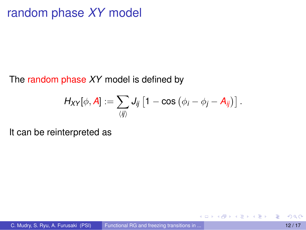# random phase *XY* model

#### The random phase *XY* model is defined by

$$
H_{XY}[\phi, A] := \sum_{\langle ij \rangle} J_{ij} \left[1 - \cos\left(\phi_i - \phi_j - A_{ij}\right)\right].
$$

4 0 8 1

 $\mathcal{A}$   $\overline{\mathcal{B}}$   $\rightarrow$   $\mathcal{A}$   $\overline{\mathcal{B}}$   $\rightarrow$   $\mathcal{A}$   $\overline{\mathcal{B}}$   $\rightarrow$ 

It can be reinterpreted as

Þ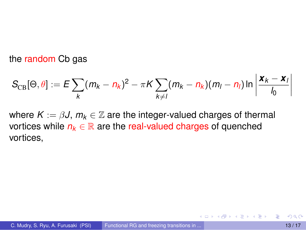the random Cb gas

$$
S_{\text{CB}}[\Theta,\theta] := E \sum_{k} (m_k - n_k)^2 - \pi K \sum_{k \neq l} (m_k - n_k)(m_l - n_l) \ln \left| \frac{\mathbf{x}_k - \mathbf{x}_l}{l_0} \right|
$$

where  $K := \beta J$ ,  $m_k \in \mathbb{Z}$  are the integer-valued charges of thermal vortices while  $n_k \in \mathbb{R}$  are the real-valued charges of quenched vortices,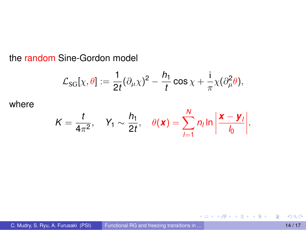the random Sine-Gordon model

$$
\mathcal{L}_{SG}[\chi,\theta]:=\frac{1}{2t}(\partial_\mu\chi)^2-\frac{h_1}{t}\cos\chi+\frac{\mathrm{i}}{\pi}\chi(\partial_\mu^2\theta),
$$

where

$$
K=\frac{t}{4\pi^2},\quad Y_1\sim\frac{h_1}{2t},\quad \theta(\boldsymbol{x})=\sum_{l=1}^N n_l \ln\left|\frac{\boldsymbol{x}-\boldsymbol{y}_l}{l_0}\right|.
$$

重

イロトメ 御 トメ 君 トメ 君 トッ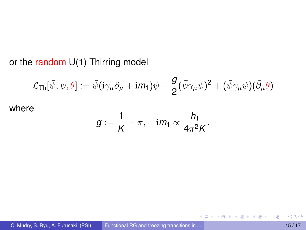#### or the random U(1) Thirring model

$$
\mathcal{L}_{\text{Th}}[\bar{\psi}, \psi, \theta] := \bar{\psi}(i\gamma_{\mu}\partial_{\mu} + i m_{1})\psi - \frac{g}{2}(\bar{\psi}\gamma_{\mu}\psi)^{2} + (\bar{\psi}\gamma_{\mu}\psi)(\tilde{\partial}_{\mu}\theta)
$$
  
where

*g*

$$
g:=\frac{1}{K}-\pi, \quad \text{im}_1\propto \frac{h_1}{4\pi^2K}.
$$

重

K ロ K K 御 K K 君 K K 君 K L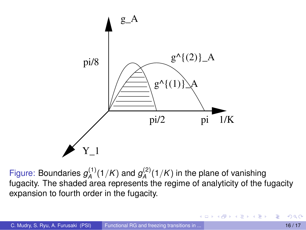

Figure: Boundaries  $g_A^{(1)}$  $g_A^{(1)}(1/K)$  and  $g_A^{(2)}$  $A^{(2)}(1/K)$  in the plane of vanishing fugacity. The shaded area represents the regime of analyticity of the fugacity expansion to fourth order in the fugacity.

<span id="page-15-0"></span>イロト イ押ト イヨト イヨト